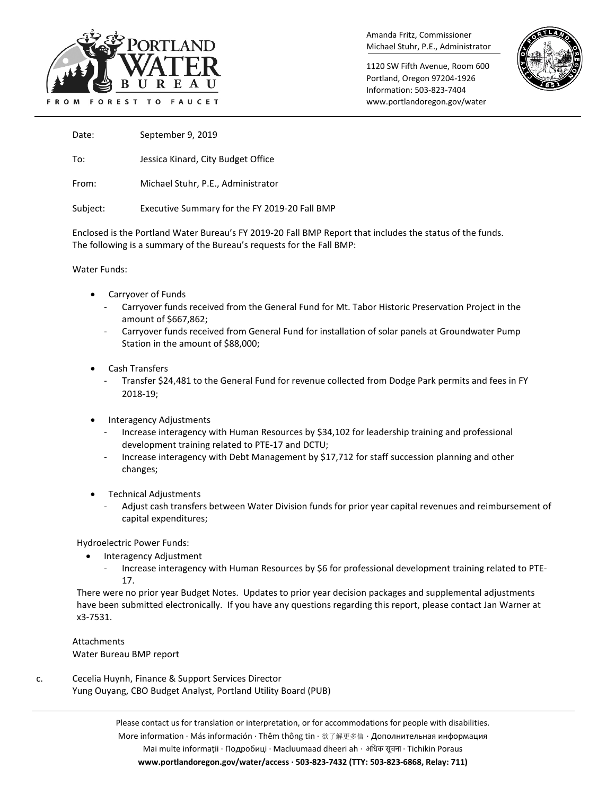

Amanda Fritz, Commissioner Michael Stuhr, P.E., Administrator

1120 SW Fifth Avenue, Room 600 Portland, Oregon 97204-1926 Information: 503-823-7404 www.portlandoregon.gov/water



Date: September 9, 2019

To: Jessica Kinard, City Budget Office

From: Michael Stuhr, P.E., Administrator

Subject: Executive Summary for the FY 2019-20 Fall BMP

Enclosed is the Portland Water Bureau's FY 2019-20 Fall BMP Report that includes the status of the funds. The following is a summary of the Bureau's requests for the Fall BMP:

Water Funds:

- Carryover of Funds
	- Carryover funds received from the General Fund for Mt. Tabor Historic Preservation Project in the amount of \$667,862;
	- Carryover funds received from General Fund for installation of solar panels at Groundwater Pump Station in the amount of \$88,000;
- Cash Transfers
	- Transfer \$24,481 to the General Fund for revenue collected from Dodge Park permits and fees in FY 2018-19;
- Interagency Adjustments
	- Increase interagency with Human Resources by \$34,102 for leadership training and professional development training related to PTE-17 and DCTU;
	- Increase interagency with Debt Management by \$17,712 for staff succession planning and other changes;
- Technical Adjustments
	- Adjust cash transfers between Water Division funds for prior year capital revenues and reimbursement of capital expenditures;

Hydroelectric Power Funds:

- Interagency Adjustment
	- Increase interagency with Human Resources by \$6 for professional development training related to PTE-17.

There were no prior year Budget Notes. Updates to prior year decision packages and supplemental adjustments have been submitted electronically. If you have any questions regarding this report, please contact Jan Warner at x3-7531.

Attachments Water Bureau BMP report

c. Cecelia Huynh, Finance & Support Services Director Yung Ouyang, CBO Budget Analyst, Portland Utility Board (PUB)

> Please contact us for translation or interpretation, or for accommodations for people with disabilities. More information · Más información · Thêm thông tin · 欲了解更多信 · Дополнительная информация Mai multe informații · Подробиці · Macluumaad dheeri ah · अिधक सूचना · Tichikin Poraus **www.portlandoregon.gov/water/access · 503-823-7432 (TTY: 503-823-6868, Relay: 711)**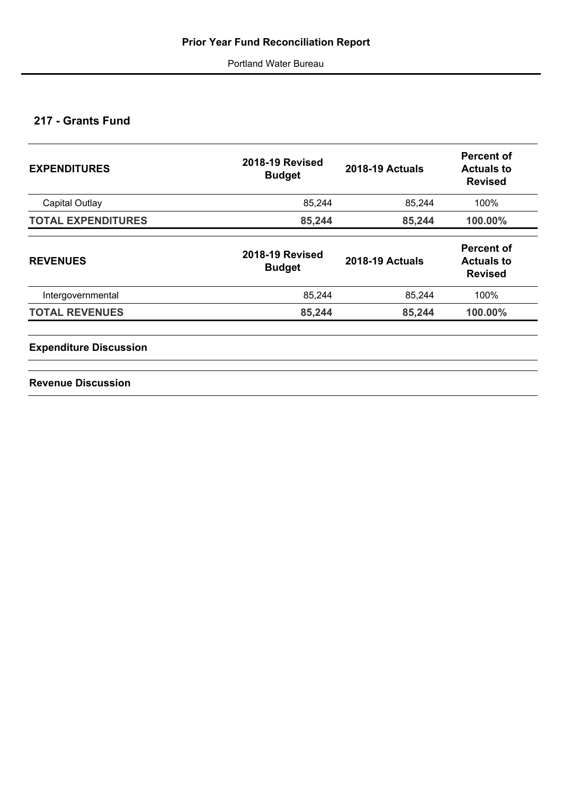# **217 - Grants Fund**

| <b>EXPENDITURES</b>           | <b>2018-19 Revised</b><br><b>Budget</b> | <b>2018-19 Actuals</b> | <b>Percent of</b><br><b>Actuals to</b><br><b>Revised</b> |  |
|-------------------------------|-----------------------------------------|------------------------|----------------------------------------------------------|--|
| Capital Outlay                | 85,244                                  | 85,244                 | 100%                                                     |  |
| <b>TOTAL EXPENDITURES</b>     | 85,244                                  | 85,244                 | 100.00%                                                  |  |
| <b>REVENUES</b>               | <b>2018-19 Revised</b><br><b>Budget</b> | <b>2018-19 Actuals</b> | <b>Percent of</b><br><b>Actuals to</b><br><b>Revised</b> |  |
| Intergovernmental             | 85,244                                  | 85,244                 | 100%                                                     |  |
| <b>TOTAL REVENUES</b>         | 85,244                                  | 85,244                 | 100.00%                                                  |  |
| <b>Expenditure Discussion</b> |                                         |                        |                                                          |  |

**Revenue Discussion**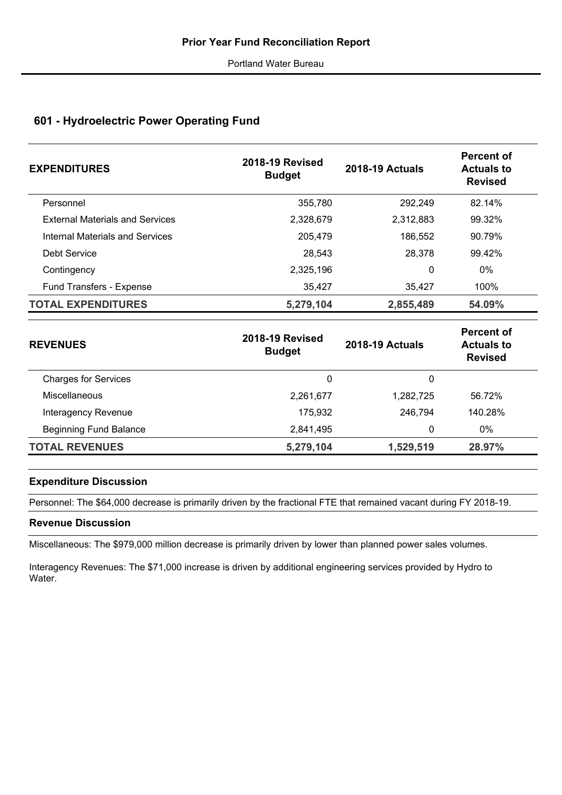# **601 - Hydroelectric Power Operating Fund**

| <b>EXPENDITURES</b>                    | <b>2018-19 Revised</b><br><b>Budget</b> | <b>2018-19 Actuals</b> | Percent of<br><b>Actuals to</b><br><b>Revised</b> |
|----------------------------------------|-----------------------------------------|------------------------|---------------------------------------------------|
| Personnel                              | 355,780                                 | 292,249                | 82.14%                                            |
| <b>External Materials and Services</b> | 2,328,679                               | 2,312,883              | 99.32%                                            |
| <b>Internal Materials and Services</b> | 205.479                                 | 186,552                | 90.79%                                            |
| Debt Service                           | 28,543                                  | 28,378                 | 99.42%                                            |
| Contingency                            | 2,325,196                               | 0                      | $0\%$                                             |
| <b>Fund Transfers - Expense</b>        | 35,427                                  | 35,427                 | 100%                                              |
| <b>TOTAL EXPENDITURES</b>              | 5,279,104                               | 2,855,489              | 54.09%                                            |

| <b>REVENUES</b>               | <b>2018-19 Revised</b><br><b>Budget</b> | <b>2018-19 Actuals</b> | <b>Percent of</b><br><b>Actuals to</b><br><b>Revised</b> |
|-------------------------------|-----------------------------------------|------------------------|----------------------------------------------------------|
| <b>Charges for Services</b>   | 0                                       | 0                      |                                                          |
| Miscellaneous                 | 2,261,677                               | 1,282,725              | 56.72%                                                   |
| Interagency Revenue           | 175,932                                 | 246,794                | 140.28%                                                  |
| <b>Beginning Fund Balance</b> | 2,841,495                               | 0                      | 0%                                                       |
| <b>TOTAL REVENUES</b>         | 5,279,104                               | 1,529,519              | 28.97%                                                   |

## **Expenditure Discussion**

Personnel: The \$64,000 decrease is primarily driven by the fractional FTE that remained vacant during FY 2018-19.

## **Revenue Discussion**

Miscellaneous: The \$979,000 million decrease is primarily driven by lower than planned power sales volumes.

Interagency Revenues: The \$71,000 increase is driven by additional engineering services provided by Hydro to Water.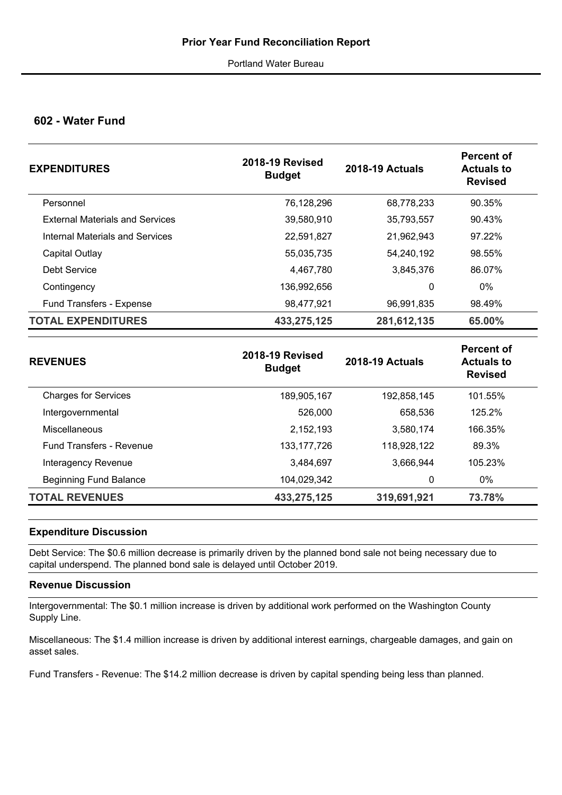## **602 - Water Fund**

| <b>EXPENDITURES</b>                    | <b>2018-19 Revised</b><br><b>Budget</b> | <b>2018-19 Actuals</b> | Percent of<br><b>Actuals to</b><br><b>Revised</b> |
|----------------------------------------|-----------------------------------------|------------------------|---------------------------------------------------|
| Personnel                              | 76,128,296                              | 68,778,233             | 90.35%                                            |
| <b>External Materials and Services</b> | 39,580,910                              | 35.793.557             | 90.43%                                            |
| Internal Materials and Services        | 22,591,827                              | 21.962.943             | 97.22%                                            |
| Capital Outlay                         | 55,035,735                              | 54,240,192             | 98.55%                                            |
| Debt Service                           | 4,467,780                               | 3,845,376              | 86.07%                                            |
| Contingency                            | 136,992,656                             | 0                      | $0\%$                                             |
| <b>Fund Transfers - Expense</b>        | 98,477,921                              | 96,991,835             | 98.49%                                            |
| <b>TOTAL EXPENDITURES</b>              | 433,275,125                             | 281,612,135            | 65.00%                                            |

| <b>REVENUES</b>                 | <b>2018-19 Revised</b><br><b>Budget</b> | <b>2018-19 Actuals</b> | <b>Percent of</b><br><b>Actuals to</b><br><b>Revised</b> |
|---------------------------------|-----------------------------------------|------------------------|----------------------------------------------------------|
| <b>Charges for Services</b>     | 189,905,167                             | 192,858,145            | 101.55%                                                  |
| Intergovernmental               | 526,000                                 | 658.536                | 125.2%                                                   |
| Miscellaneous                   | 2,152,193                               | 3,580,174              | 166.35%                                                  |
| <b>Fund Transfers - Revenue</b> | 133, 177, 726                           | 118,928,122            | 89.3%                                                    |
| Interagency Revenue             | 3,484,697                               | 3,666,944              | 105.23%                                                  |
| Beginning Fund Balance          | 104,029,342                             | 0                      | $0\%$                                                    |
| <b>TOTAL REVENUES</b>           | 433,275,125                             | 319,691,921            | 73.78%                                                   |

## **Expenditure Discussion**

Debt Service: The \$0.6 million decrease is primarily driven by the planned bond sale not being necessary due to capital underspend. The planned bond sale is delayed until October 2019.

## **Revenue Discussion**

Intergovernmental: The \$0.1 million increase is driven by additional work performed on the Washington County Supply Line.

Miscellaneous: The \$1.4 million increase is driven by additional interest earnings, chargeable damages, and gain on asset sales.

Fund Transfers - Revenue: The \$14.2 million decrease is driven by capital spending being less than planned.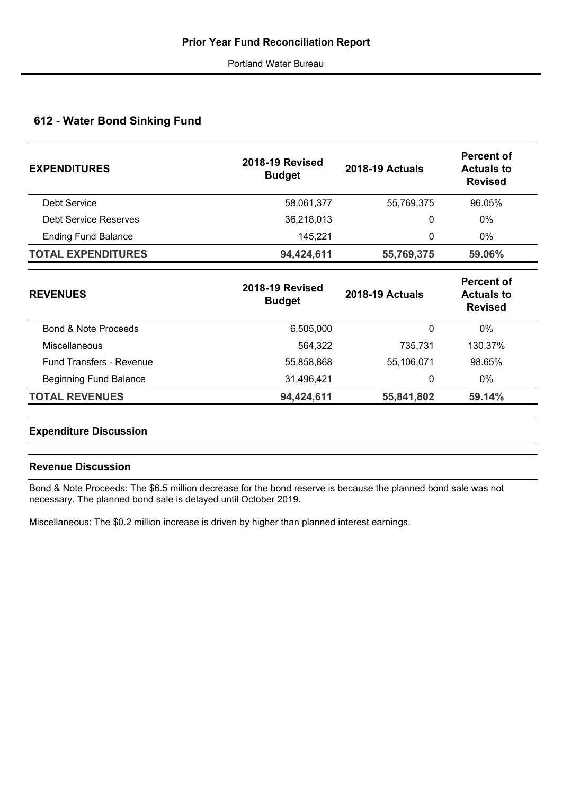## **612 - Water Bond Sinking Fund**

| <b>EXPENDITURES</b>        | <b>2018-19 Revised</b><br><b>Budget</b> | <b>2018-19 Actuals</b> | <b>Percent of</b><br><b>Actuals to</b><br><b>Revised</b> |
|----------------------------|-----------------------------------------|------------------------|----------------------------------------------------------|
| Debt Service               | 58,061,377                              | 55,769,375             | 96.05%                                                   |
| Debt Service Reserves      | 36,218,013                              | 0                      | 0%                                                       |
| <b>Ending Fund Balance</b> | 145,221                                 | 0                      | $0\%$                                                    |
| <b>TOTAL EXPENDITURES</b>  | 94,424,611                              | 55,769,375             | 59.06%                                                   |
|                            |                                         |                        |                                                          |

| <b>2018-19 Revised</b><br><b>Budget</b> | <b>2018-19 Actuals</b> | <b>Percent of</b><br><b>Actuals to</b><br><b>Revised</b> |  |  |
|-----------------------------------------|------------------------|----------------------------------------------------------|--|--|
| 6,505,000                               | 0                      | 0%                                                       |  |  |
| 564.322                                 | 735.731                | 130.37%                                                  |  |  |
| 55,858,868                              | 55,106,071             | 98.65%                                                   |  |  |
| 31,496,421                              | 0                      | 0%                                                       |  |  |
| 94,424,611                              | 55,841,802             | 59.14%                                                   |  |  |
|                                         |                        |                                                          |  |  |

## **Expenditure Discussion**

## **Revenue Discussion**

Bond & Note Proceeds: The \$6.5 million decrease for the bond reserve is because the planned bond sale was not necessary. The planned bond sale is delayed until October 2019.

Miscellaneous: The \$0.2 million increase is driven by higher than planned interest earnings.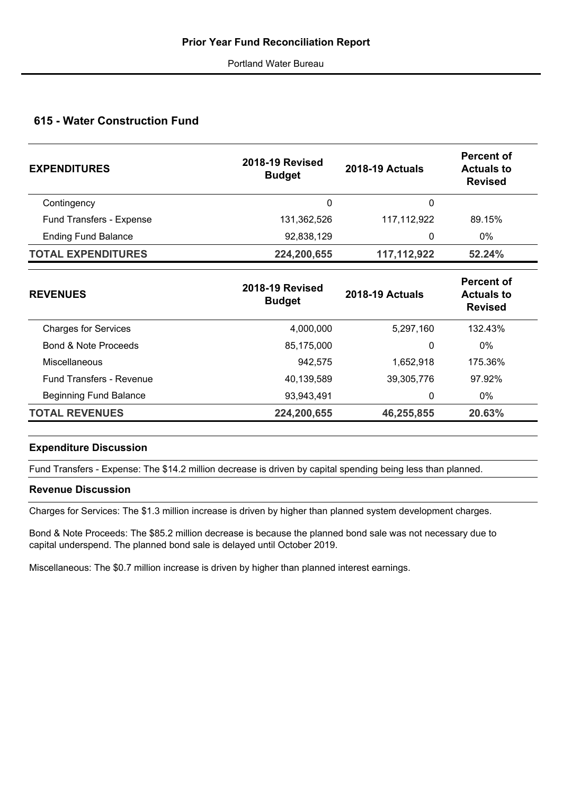## **615 - Water Construction Fund**

| <b>2018-19 Revised</b><br><b>Budget</b> | <b>2018-19 Actuals</b> | <b>Percent of</b><br><b>Actuals to</b><br><b>Revised</b> |
|-----------------------------------------|------------------------|----------------------------------------------------------|
| 0                                       | 0                      |                                                          |
| 131,362,526                             | 117, 112, 922          | 89.15%                                                   |
| 92,838,129                              | 0                      | 0%                                                       |
| 224,200,655                             | 117,112,922            | 52.24%                                                   |
|                                         |                        |                                                          |

| <b>REVENUES</b>                 | <b>2018-19 Revised</b><br><b>Budget</b> | <b>2018-19 Actuals</b> | <b>Percent of</b><br><b>Actuals to</b><br><b>Revised</b> |  |
|---------------------------------|-----------------------------------------|------------------------|----------------------------------------------------------|--|
| <b>Charges for Services</b>     | 4,000,000                               | 5,297,160              | 132.43%                                                  |  |
| Bond & Note Proceeds            | 85,175,000                              | 0                      | $0\%$                                                    |  |
| Miscellaneous                   | 942,575                                 | 1.652.918              | 175.36%                                                  |  |
| <b>Fund Transfers - Revenue</b> | 40,139,589                              | 39,305,776             | 97.92%                                                   |  |
| <b>Beginning Fund Balance</b>   | 93,943,491                              | 0                      | $0\%$                                                    |  |
| <b>TOTAL REVENUES</b>           | 224,200,655                             | 46,255,855             | 20.63%                                                   |  |
|                                 |                                         |                        |                                                          |  |

## **Expenditure Discussion**

Fund Transfers - Expense: The \$14.2 million decrease is driven by capital spending being less than planned.

## **Revenue Discussion**

Charges for Services: The \$1.3 million increase is driven by higher than planned system development charges.

Bond & Note Proceeds: The \$85.2 million decrease is because the planned bond sale was not necessary due to capital underspend. The planned bond sale is delayed until October 2019.

Miscellaneous: The \$0.7 million increase is driven by higher than planned interest earnings.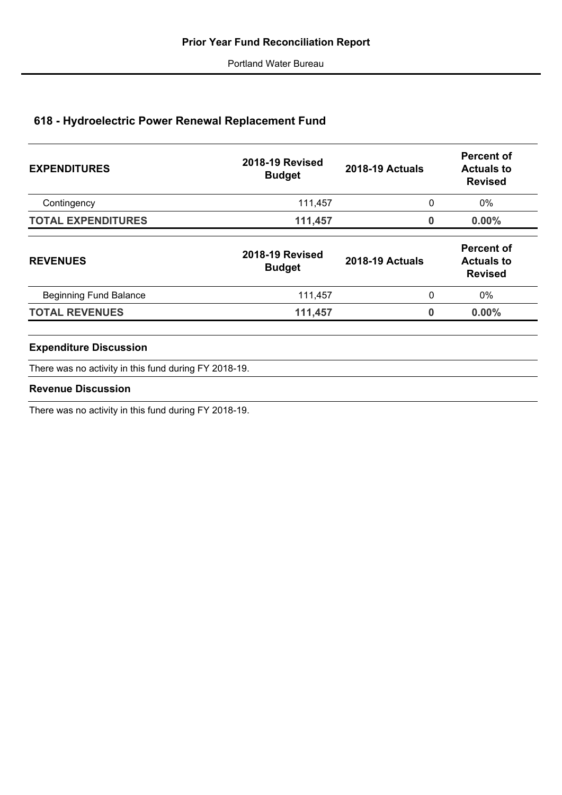# **618 - Hydroelectric Power Renewal Replacement Fund**

| <b>EXPENDITURES</b>                                   | <b>2018-19 Revised</b><br><b>Budget</b> | <b>2018-19 Actuals</b> | <b>Percent of</b><br><b>Actuals to</b><br><b>Revised</b> |
|-------------------------------------------------------|-----------------------------------------|------------------------|----------------------------------------------------------|
| Contingency                                           | 111,457                                 | 0                      | $0\%$                                                    |
| <b>TOTAL EXPENDITURES</b>                             | 111,457                                 | 0                      | $0.00\%$                                                 |
| <b>REVENUES</b>                                       | <b>2018-19 Revised</b><br><b>Budget</b> | <b>2018-19 Actuals</b> | <b>Percent of</b><br><b>Actuals to</b><br><b>Revised</b> |
| <b>Beginning Fund Balance</b>                         | 111,457                                 | 0                      | 0%                                                       |
| <b>TOTAL REVENUES</b>                                 | 111,457                                 | 0                      | 0.00%                                                    |
| <b>Expenditure Discussion</b>                         |                                         |                        |                                                          |
| There was no activity in this fund during FY 2018-19. |                                         |                        |                                                          |
| <b>Revenue Discussion</b>                             |                                         |                        |                                                          |

There was no activity in this fund during FY 2018-19.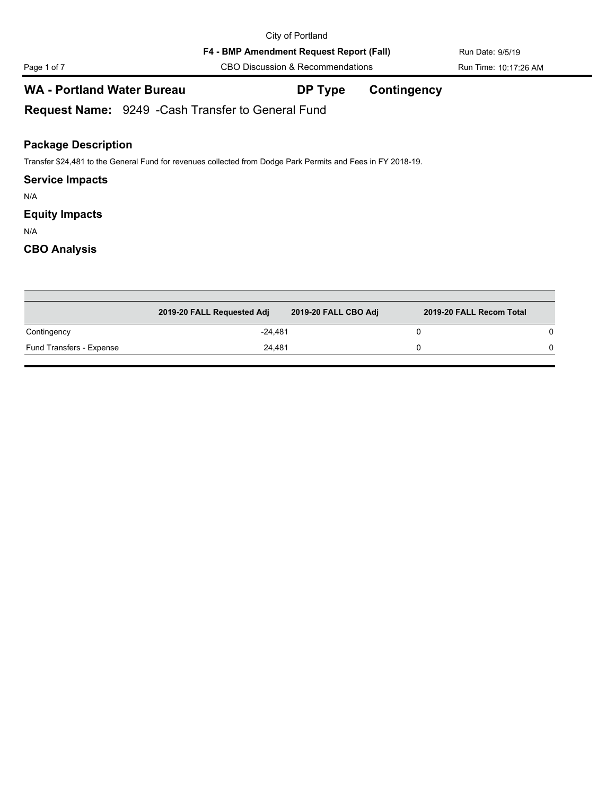Page 1 of 7 CBO Discussion & Recommendations Run Time: 10:17:26 AM

## **WA - Portland Water Bureau DP Type Contingency**

**Request Name:** 9249 -Cash Transfer to General Fund

## **Package Description**

Transfer \$24,481 to the General Fund for revenues collected from Dodge Park Permits and Fees in FY 2018-19.

#### **Service Impacts**

N/A

## **Equity Impacts**

N/A

|                          | 2019-20 FALL Requested Adj | 2019-20 FALL CBO Adj | 2019-20 FALL Recom Total |   |
|--------------------------|----------------------------|----------------------|--------------------------|---|
| Contingency              | $-24.481$                  |                      |                          | 0 |
| Fund Transfers - Expense | 24.481                     |                      |                          | 0 |

| Page 1 of |  |  |
|-----------|--|--|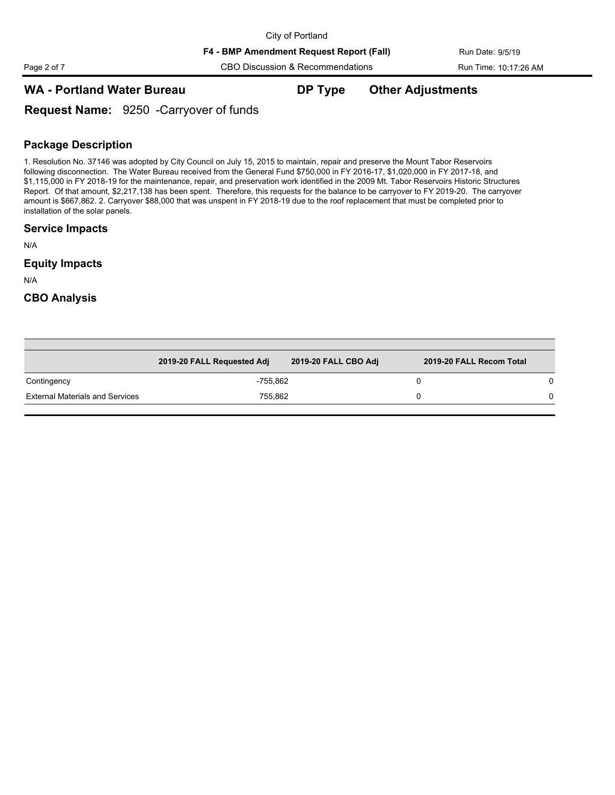Page 2 of 7 CBO Discussion & Recommendations Run Time: 10:17:26 AM

## **WA - Portland Water Bureau DP Type Other Adjustments**

**Request Name:** 9250 -Carryover of funds

## **Package Description**

1. Resolution No. 37146 was adopted by City Council on July 15, 2015 to maintain, repair and preserve the Mount Tabor Reservoirs following disconnection. The Water Bureau received from the General Fund \$750,000 in FY 2016-17, \$1,020,000 in FY 2017-18, and \$1,115,000 in FY 2018-19 for the maintenance, repair, and preservation work identified in the 2009 Mt. Tabor Reservoirs Historic Structures Report. Of that amount, \$2,217,138 has been spent. Therefore, this requests for the balance to be carryover to FY 2019-20. The carryover amount is \$667,862. 2. Carryover \$88,000 that was unspent in FY 2018-19 due to the roof replacement that must be completed prior to installation of the solar panels.

#### **Service Impacts**

N/A

#### **Equity Impacts**

N/A

|                                        | 2019-20 FALL Requested Adj | 2019-20 FALL CBO Adj | 2019-20 FALL Recom Total |  |
|----------------------------------------|----------------------------|----------------------|--------------------------|--|
| Contingency                            | -755.862                   |                      |                          |  |
| <b>External Materials and Services</b> | 755,862                    |                      |                          |  |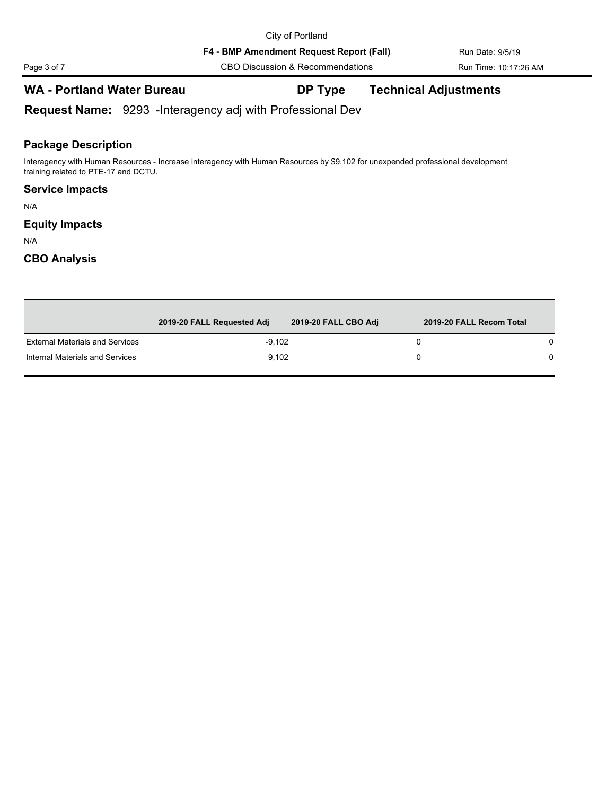**F4 - BMP Amendment Request Report (Fall)** Run Date: 9/5/19

Page 3 of 7 CBO Discussion & Recommendations Run Time: 10:17:26 AM

## **WA - Portland Water Bureau DP Type Technical Adjustments**

**Request Name:** 9293 -Interagency adj with Professional Dev

## **Package Description**

Interagency with Human Resources - Increase interagency with Human Resources by \$9,102 for unexpended professional development training related to PTE-17 and DCTU.

## **Service Impacts**

N/A

## **Equity Impacts**

N/A

|                                        | 2019-20 FALL Requested Adj | 2019-20 FALL CBO Adj | 2019-20 FALL Recom Total |  |
|----------------------------------------|----------------------------|----------------------|--------------------------|--|
| <b>External Materials and Services</b> | $-9.102$                   |                      |                          |  |
| Internal Materials and Services        | 9.102                      |                      |                          |  |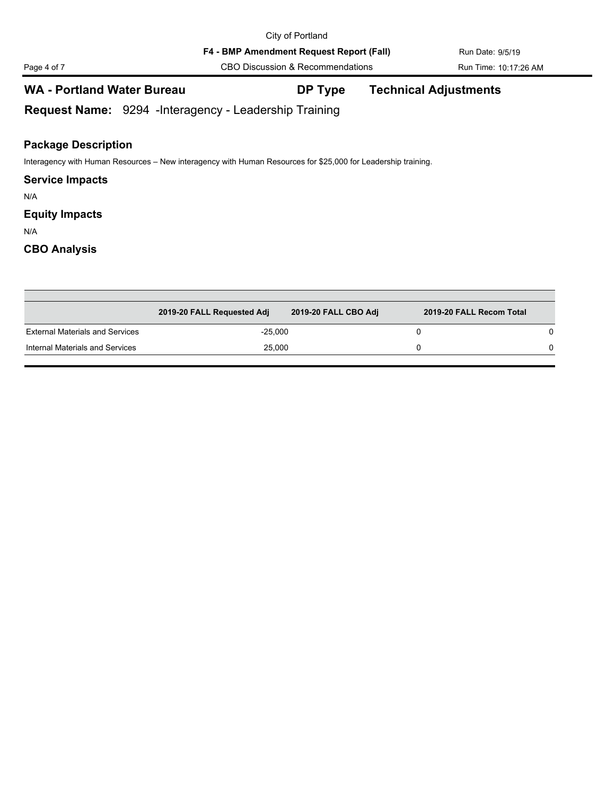**F4 - BMP Amendment Request Report (Fall)** Run Date: 9/5/19

Page 4 of 7 CBO Discussion & Recommendations Run Time: 10:17:26 AM

## **WA - Portland Water Bureau DP Type Technical Adjustments**

**Request Name:** 9294 -Interagency - Leadership Training

## **Package Description**

Interagency with Human Resources – New interagency with Human Resources for \$25,000 for Leadership training.

#### **Service Impacts**

N/A

## **Equity Impacts**

N/A

|                                        | 2019-20 FALL Requested Adj | 2019-20 FALL CBO Adj | 2019-20 FALL Recom Total |   |
|----------------------------------------|----------------------------|----------------------|--------------------------|---|
| <b>External Materials and Services</b> | $-25,000$                  |                      |                          |   |
| Internal Materials and Services        | 25.000                     |                      |                          | 0 |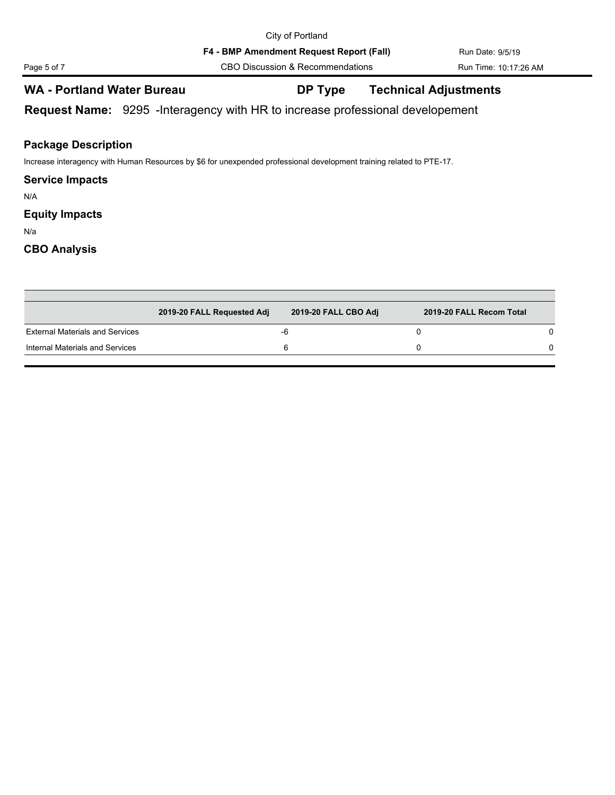## **WA - Portland Water Bureau DP Type Technical Adjustments**

**Request Name:** 9295 -Interagency with HR to increase professional developement

## **Package Description**

Increase interagency with Human Resources by \$6 for unexpended professional development training related to PTE-17.

### **Service Impacts**

N/A

## **Equity Impacts**

N/a

|                                        | 2019-20 FALL Requested Adj | 2019-20 FALL CBO Adj | 2019-20 FALL Recom Total |  |
|----------------------------------------|----------------------------|----------------------|--------------------------|--|
| <b>External Materials and Services</b> |                            | -0                   |                          |  |
| Internal Materials and Services        |                            |                      |                          |  |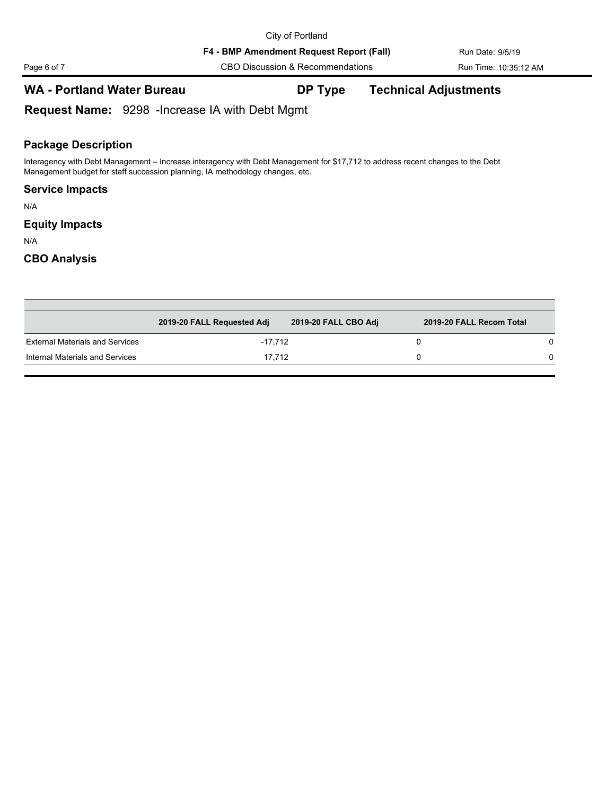**F4 - BMP Amendment Request Report (Fall)** Run Date: 9/5/19

Page 6 of 7 CBO Discussion & Recommendations Run Time: 10:35:12 AM

## **WA - Portland Water Bureau DP Type Technical Adjustments**

**Request Name:** 9298 -Increase IA with Debt Mgmt

## **Package Description**

Interagency with Debt Management – Increase interagency with Debt Management for \$17,712 to address recent changes to the Debt Management budget for staff succession planning, IA methodology changes, etc.

### **Service Impacts**

N/A

## **Equity Impacts**

N/A

|                                        | 2019-20 FALL Requested Adj | 2019-20 FALL CBO Adj | 2019-20 FALL Recom Total |  |
|----------------------------------------|----------------------------|----------------------|--------------------------|--|
| <b>External Materials and Services</b> | -17.712                    |                      |                          |  |
| Internal Materials and Services        | 17.712                     |                      |                          |  |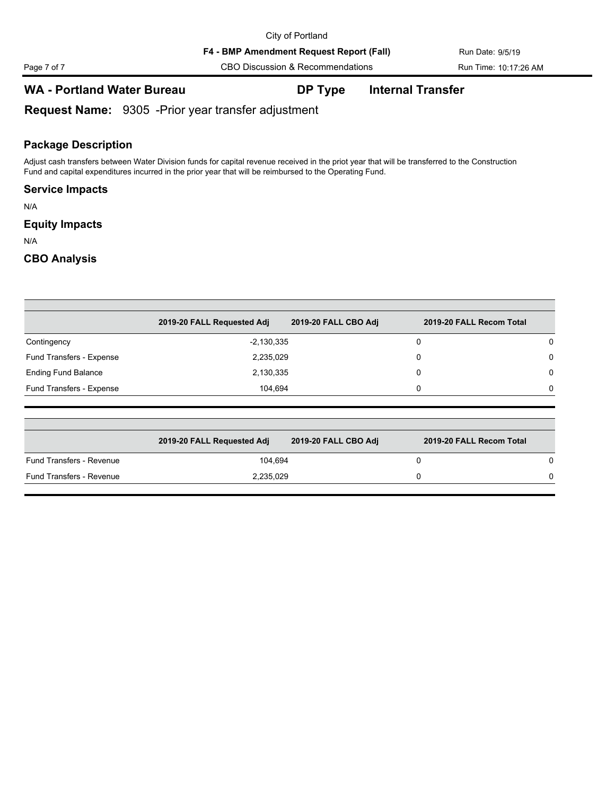Page 7 of 7 CBO Discussion & Recommendations Run Time: 10:17:26 AM

## **WA - Portland Water Bureau DP Type Internal Transfer**

**Request Name:** 9305 -Prior year transfer adjustment

## **Package Description**

Adjust cash transfers between Water Division funds for capital revenue received in the priot year that will be transferred to the Construction Fund and capital expenditures incurred in the prior year that will be reimbursed to the Operating Fund.

## **Service Impacts**

N/A

## **Equity Impacts**

N/A

|                            | 2019-20 FALL Requested Adj | 2019-20 FALL CBO Adj | 2019-20 FALL Recom Total |          |
|----------------------------|----------------------------|----------------------|--------------------------|----------|
| Contingency                | $-2,130,335$               |                      | 0                        | 0        |
| Fund Transfers - Expense   | 2,235,029                  |                      | 0                        | 0        |
| <b>Ending Fund Balance</b> | 2,130,335                  |                      | 0                        | $\Omega$ |
| Fund Transfers - Expense   | 104,694                    |                      | 0                        | $\Omega$ |

|                          | 2019-20 FALL Requested Adj | 2019-20 FALL CBO Adj | 2019-20 FALL Recom Total |
|--------------------------|----------------------------|----------------------|--------------------------|
| Fund Transfers - Revenue | 104.694                    |                      |                          |
| Fund Transfers - Revenue | 2.235.029                  |                      |                          |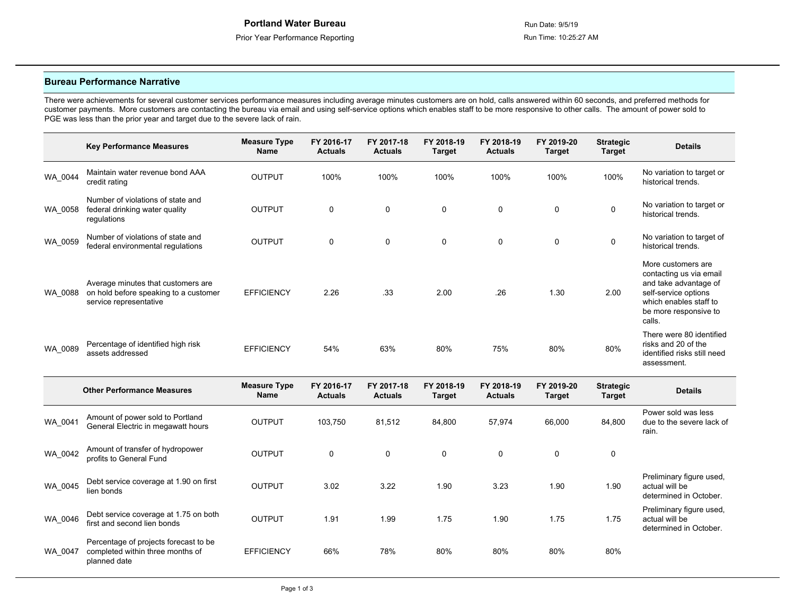Preliminary figure used,

actual will be determined in October.

#### **Bureau Performance Narrative**

WA\_0046 Debt service coverage at 1.75 on both

Percentage of projects forecast to be

WA\_0047 completed within three months of

planned date

There were achievements for several customer services performance measures including average minutes customers are on hold, calls answered within 60 seconds, and preferred methods for customer payments. More customers are contacting the bureau via email and using self-service options which enables staff to be more responsive to other calls. The amount of power sold to PGE was less than the prior year and target due to the severe lack of rain.

|         | <b>Key Performance Measures</b>                                                                       | <b>Measure Type</b><br>Name | FY 2016-17<br><b>Actuals</b> | FY 2017-18<br><b>Actuals</b> | FY 2018-19<br><b>Target</b> | FY 2018-19<br><b>Actuals</b> | FY 2019-20<br><b>Target</b> | <b>Strategic</b><br><b>Target</b> | <b>Details</b>                                                                                                                                              |
|---------|-------------------------------------------------------------------------------------------------------|-----------------------------|------------------------------|------------------------------|-----------------------------|------------------------------|-----------------------------|-----------------------------------|-------------------------------------------------------------------------------------------------------------------------------------------------------------|
| WA_0044 | Maintain water revenue bond AAA<br>credit rating                                                      | <b>OUTPUT</b>               | 100%                         | 100%                         | 100%                        | 100%                         | 100%                        | 100%                              | No variation to target or<br>historical trends.                                                                                                             |
| WA 0058 | Number of violations of state and<br>federal drinking water quality<br>regulations                    | OUTPUT                      | 0                            | 0                            | $\mathbf 0$                 | 0                            | 0                           | 0                                 | No variation to target or<br>historical trends.                                                                                                             |
| WA_0059 | Number of violations of state and<br>federal environmental requlations                                | OUTPUT                      | 0                            | $\mathbf 0$                  | $\mathbf 0$                 | $\mathbf 0$                  | $\mathbf 0$                 | $\mathbf 0$                       | No variation to target of<br>historical trends.                                                                                                             |
| WA_0088 | Average minutes that customers are<br>on hold before speaking to a customer<br>service representative | <b>EFFICIENCY</b>           | 2.26                         | .33                          | 2.00                        | .26                          | 1.30                        | 2.00                              | More customers are<br>contacting us via email<br>and take advantage of<br>self-service options<br>which enables staff to<br>be more responsive to<br>calls. |
| WA_0089 | Percentage of identified high risk<br>assets addressed                                                | <b>EFFICIENCY</b>           | 54%                          | 63%                          | 80%                         | 75%                          | 80%                         | 80%                               | There were 80 identified<br>risks and 20 of the<br>identified risks still need<br>assessment.                                                               |
|         | <b>Other Performance Measures</b>                                                                     | <b>Measure Type</b><br>Name | FY 2016-17<br><b>Actuals</b> | FY 2017-18<br><b>Actuals</b> | FY 2018-19<br><b>Target</b> | FY 2018-19<br><b>Actuals</b> | FY 2019-20<br><b>Target</b> | <b>Strategic</b><br><b>Target</b> | <b>Details</b>                                                                                                                                              |
| WA 0041 | Amount of power sold to Portland<br>General Electric in megawatt hours                                | <b>OUTPUT</b>               | 103,750                      | 81,512                       | 84,800                      | 57,974                       | 66,000                      | 84,800                            | Power sold was less<br>due to the severe lack of<br>rain.                                                                                                   |
| WA_0042 | Amount of transfer of hydropower<br>profits to General Fund                                           | OUTPUT                      | 0                            | $\mathbf 0$                  | $\mathbf 0$                 | $\mathbf 0$                  | $\mathbf 0$                 | $\mathbf 0$                       |                                                                                                                                                             |
| WA 0045 | Debt service coverage at 1.90 on first<br>lien bonds                                                  | <b>OUTPUT</b>               | 3.02                         | 3.22                         | 1.90                        | 3.23                         | 1.90                        | 1.90                              | Preliminary figure used,<br>actual will be<br>determined in October.                                                                                        |

Let be the service coverage at 1.75 on both the OUTPUT 1.91 1.99 1.75 1.90 1.75 1.75 1.75 1.75 1.75 1.75 1.75<br>Tirst and second lien bonds

EFFICIENCY 66% 78% 80% 80% 80% 80%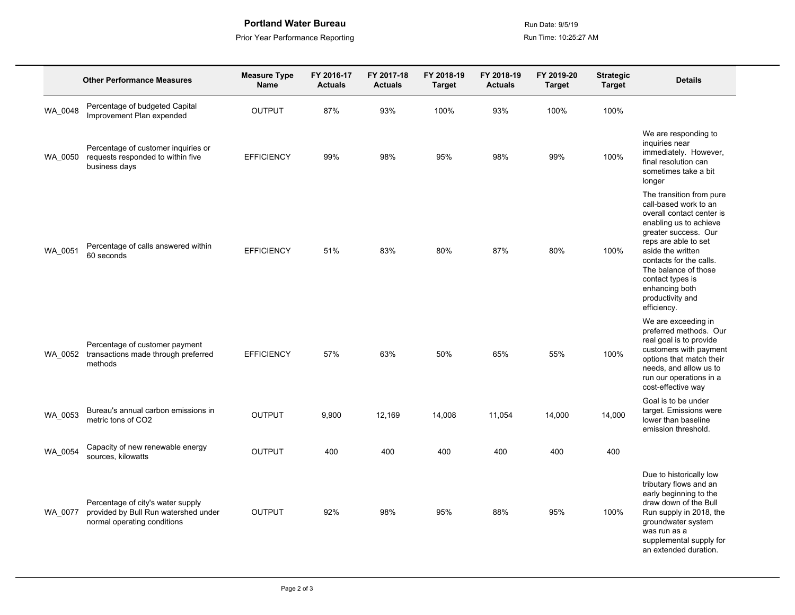**Portland Water Bureau Camerau Run Date: 9/5/19** Run Date: 9/5/19

Prior Year Performance Reporting **Run Time: 10:25:27 AM** 

|         | <b>Other Performance Measures</b>                                                                        | <b>Measure Type</b><br><b>Name</b> | FY 2016-17<br><b>Actuals</b> | FY 2017-18<br><b>Actuals</b> | FY 2018-19<br><b>Target</b> | FY 2018-19<br><b>Actuals</b> | FY 2019-20<br><b>Target</b> | <b>Strategic</b><br><b>Target</b> | <b>Details</b>                                                                                                                                                                                                                                                                                            |
|---------|----------------------------------------------------------------------------------------------------------|------------------------------------|------------------------------|------------------------------|-----------------------------|------------------------------|-----------------------------|-----------------------------------|-----------------------------------------------------------------------------------------------------------------------------------------------------------------------------------------------------------------------------------------------------------------------------------------------------------|
| WA 0048 | Percentage of budgeted Capital<br>Improvement Plan expended                                              | <b>OUTPUT</b>                      | 87%                          | 93%                          | 100%                        | 93%                          | 100%                        | 100%                              |                                                                                                                                                                                                                                                                                                           |
| WA 0050 | Percentage of customer inquiries or<br>requests responded to within five<br>business days                | <b>EFFICIENCY</b>                  | 99%                          | 98%                          | 95%                         | 98%                          | 99%                         | 100%                              | We are responding to<br>inquiries near<br>immediately. However,<br>final resolution can<br>sometimes take a bit<br>longer                                                                                                                                                                                 |
| WA_0051 | Percentage of calls answered within<br>60 seconds                                                        | <b>EFFICIENCY</b>                  | 51%                          | 83%                          | 80%                         | 87%                          | 80%                         | 100%                              | The transition from pure<br>call-based work to an<br>overall contact center is<br>enabling us to achieve<br>greater success. Our<br>reps are able to set<br>aside the written<br>contacts for the calls.<br>The balance of those<br>contact types is<br>enhancing both<br>productivity and<br>efficiency. |
| WA_0052 | Percentage of customer payment<br>transactions made through preferred<br>methods                         | <b>EFFICIENCY</b>                  | 57%                          | 63%                          | 50%                         | 65%                          | 55%                         | 100%                              | We are exceeding in<br>preferred methods. Our<br>real goal is to provide<br>customers with payment<br>options that match their<br>needs, and allow us to<br>run our operations in a<br>cost-effective way                                                                                                 |
| WA 0053 | Bureau's annual carbon emissions in<br>metric tons of CO2                                                | <b>OUTPUT</b>                      | 9,900                        | 12,169                       | 14,008                      | 11,054                       | 14,000                      | 14,000                            | Goal is to be under<br>target. Emissions were<br>lower than baseline<br>emission threshold.                                                                                                                                                                                                               |
| WA_0054 | Capacity of new renewable energy<br>sources, kilowatts                                                   | <b>OUTPUT</b>                      | 400                          | 400                          | 400                         | 400                          | 400                         | 400                               |                                                                                                                                                                                                                                                                                                           |
| WA_0077 | Percentage of city's water supply<br>provided by Bull Run watershed under<br>normal operating conditions | <b>OUTPUT</b>                      | 92%                          | 98%                          | 95%                         | 88%                          | 95%                         | 100%                              | Due to historically low<br>tributary flows and an<br>early beginning to the<br>draw down of the Bull<br>Run supply in 2018, the<br>groundwater system<br>was run as a<br>supplemental supply for<br>an extended duration.                                                                                 |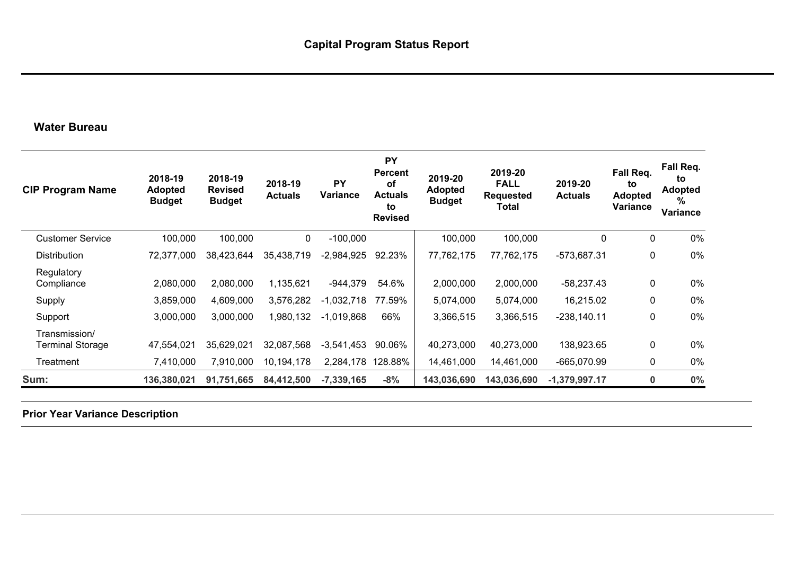## **Water Bureau**

| <b>CIP Program Name</b>           | 2018-19<br><b>Adopted</b><br><b>Budget</b> | 2018-19<br><b>Revised</b><br><b>Budget</b> | 2018-19<br><b>Actuals</b> | PY<br>Variance | <b>PY</b><br><b>Percent</b><br>οf<br><b>Actuals</b><br>to<br><b>Revised</b> | 2019-20<br><b>Adopted</b><br><b>Budget</b> | 2019-20<br><b>FALL</b><br><b>Requested</b><br>Total | 2019-20<br><b>Actuals</b> | Fall Req.<br>to<br><b>Adopted</b><br>Variance | Fall Req.<br>to<br><b>Adopted</b><br>%<br>Variance |
|-----------------------------------|--------------------------------------------|--------------------------------------------|---------------------------|----------------|-----------------------------------------------------------------------------|--------------------------------------------|-----------------------------------------------------|---------------------------|-----------------------------------------------|----------------------------------------------------|
| <b>Customer Service</b>           | 100,000                                    | 100,000                                    | 0                         | $-100,000$     |                                                                             | 100,000                                    | 100,000                                             | 0                         | 0                                             | 0%                                                 |
| Distribution                      | 72,377,000                                 | 38,423,644                                 | 35,438,719                | $-2,984,925$   | 92.23%                                                                      | 77,762,175                                 | 77,762,175                                          | -573,687.31               | 0                                             | 0%                                                 |
| Regulatory<br>Compliance          | 2,080,000                                  | 2,080,000                                  | 1,135,621                 | $-944,379$     | 54.6%                                                                       | 2,000,000                                  | 2,000,000                                           | $-58,237.43$              | 0                                             | 0%                                                 |
| Supply                            | 3,859,000                                  | 4,609,000                                  | 3,576,282                 | $-1,032,718$   | 77.59%                                                                      | 5,074,000                                  | 5,074,000                                           | 16,215.02                 | 0                                             | 0%                                                 |
| Support                           | 3,000,000                                  | 3,000,000                                  | ,980,132                  | $-1,019,868$   | 66%                                                                         | 3,366,515                                  | 3,366,515                                           | $-238,140.11$             | 0                                             | 0%                                                 |
| Transmission/<br>Terminal Storage | 47,554,021                                 | 35,629,021                                 | 32,087,568                | $-3,541,453$   | 90.06%                                                                      | 40,273,000                                 | 40,273,000                                          | 138,923.65                | 0                                             | 0%                                                 |
| Treatment                         | 7,410,000                                  | 7,910,000                                  | 10,194,178                | 2,284,178      | 128.88%                                                                     | 14,461,000                                 | 14,461,000                                          | $-665,070.99$             | 0                                             | $0\%$                                              |
| Sum:                              | 136,380,021                                | 91,751,665                                 | 84,412,500                | $-7,339,165$   | $-8%$                                                                       | 143,036,690                                | 143,036,690                                         | $-1,379,997.17$           | $\bf{0}$                                      | 0%                                                 |

**Prior Year Variance Description**